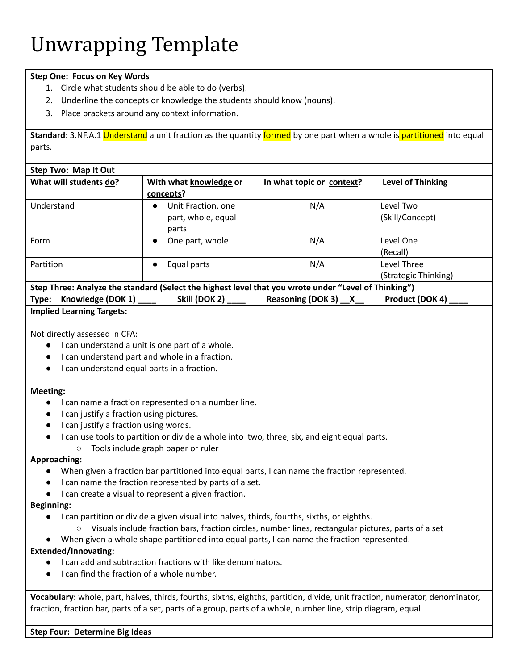# **Step One: Focus on Key Words**

- 1. Circle what students should be able to do (verbs).
- 2. Underline the concepts or knowledge the students should know (nouns).
- 3. Place brackets around any context information.

**Standard**: 3.NF.A.1 Understand a unit fraction as the quantity formed by one part when a whole is partitioned into equal parts.

| Step Two: Map It Out                                                                                 |                                 |                           |                          |  |  |
|------------------------------------------------------------------------------------------------------|---------------------------------|---------------------------|--------------------------|--|--|
| What will students do?                                                                               | With what knowledge or          | In what topic or context? | <b>Level of Thinking</b> |  |  |
|                                                                                                      | concepts?                       |                           |                          |  |  |
| Understand                                                                                           | Unit Fraction, one<br>$\bullet$ | N/A                       | Level Two                |  |  |
|                                                                                                      | part, whole, equal              |                           | (Skill/Concept)          |  |  |
|                                                                                                      | parts                           |                           |                          |  |  |
| Form                                                                                                 | One part, whole<br>$\bullet$    | N/A                       | Level One                |  |  |
|                                                                                                      |                                 |                           | (Recall)                 |  |  |
| Partition                                                                                            | Equal parts<br>$\bullet$        | N/A                       | Level Three              |  |  |
|                                                                                                      |                                 |                           | (Strategic Thinking)     |  |  |
| Step Three: Analyze the standard (Select the highest level that you wrote under "Level of Thinking") |                                 |                           |                          |  |  |

| Implied Learning Targetar |               |                                                                                                       |                 |
|---------------------------|---------------|-------------------------------------------------------------------------------------------------------|-----------------|
| Type: Knowledge (DOK 1)   | Skill (DOK 2) | Reasoning (DOK 3) X                                                                                   | Product (DOK 4) |
|                           |               | beep innee. Analyze the standard percet the inglicit level that you wrote under - Level of Thinking T |                 |

### **Implied Learning Targets:**

Not directly assessed in CFA:

- I can understand a unit is one part of a whole.
- I can understand part and whole in a fraction.
- I can understand equal parts in a fraction.

#### **Meeting:**

- I can name a fraction represented on a number line.
- I can justify a fraction using pictures.
- I can justify a fraction using words.
- I can use tools to partition or divide a whole into two, three, six, and eight equal parts.
	- Tools include graph paper or ruler

#### **Approaching:**

- When given a fraction bar partitioned into equal parts, I can name the fraction represented.
- I can name the fraction represented by parts of a set.
- I can create a visual to represent a given fraction.

## **Beginning:**

- I can partition or divide a given visual into halves, thirds, fourths, sixths, or eighths.
- Visuals include fraction bars, fraction circles, number lines, rectangular pictures, parts of a set
- When given a whole shape partitioned into equal parts, I can name the fraction represented.

## **Extended/Innovating:**

- I can add and subtraction fractions with like denominators.
- I can find the fraction of a whole number.

**Vocabulary:** whole, part, halves, thirds, fourths, sixths, eighths, partition, divide, unit fraction, numerator, denominator, fraction, fraction bar, parts of a set, parts of a group, parts of a whole, number line, strip diagram, equal

#### **Step Four: Determine Big Ideas**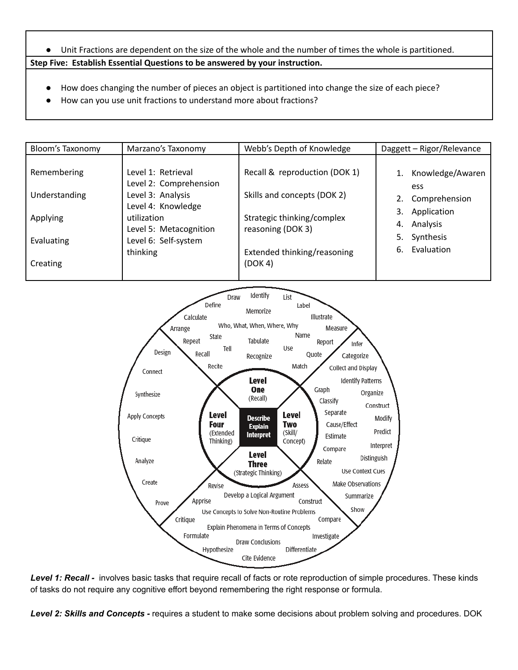- Unit Fractions are dependent on the size of the whole and the number of times the whole is partitioned. **Step Five: Establish Essential Questions to be answered by your instruction.**
	- How does changing the number of pieces an object is partitioned into change the size of each piece?
	- How can you use unit fractions to understand more about fractions?

| <b>Bloom's Taxonomy</b>      | Marzano's Taxonomy                                                                      | Webb's Depth of Knowledge                                    | Daggett - Rigor/Relevance                           |
|------------------------------|-----------------------------------------------------------------------------------------|--------------------------------------------------------------|-----------------------------------------------------|
| Remembering<br>Understanding | Level 1: Retrieval<br>Level 2: Comprehension<br>Level 3: Analysis<br>Level 4: Knowledge | Recall & reproduction (DOK 1)<br>Skills and concepts (DOK 2) | Knowledge/Awaren<br>ess<br>Comprehension<br>2.      |
| Applying<br>Evaluating       | utilization<br>Level 5: Metacognition<br>Level 6: Self-system                           | Strategic thinking/complex<br>reasoning (DOK 3)              | 3.<br>Application<br>4. Analysis<br>Synthesis<br>5. |
| Creating                     | thinking                                                                                | Extended thinking/reasoning<br>(DOK 4)                       | 6. Evaluation                                       |



*Level 1: Recall -* involves basic tasks that require recall of facts or rote reproduction of simple procedures. These kinds of tasks do not require any cognitive effort beyond remembering the right response or formula.

*Level 2: Skills and Concepts -* requires a student to make some decisions about problem solving and procedures. DOK